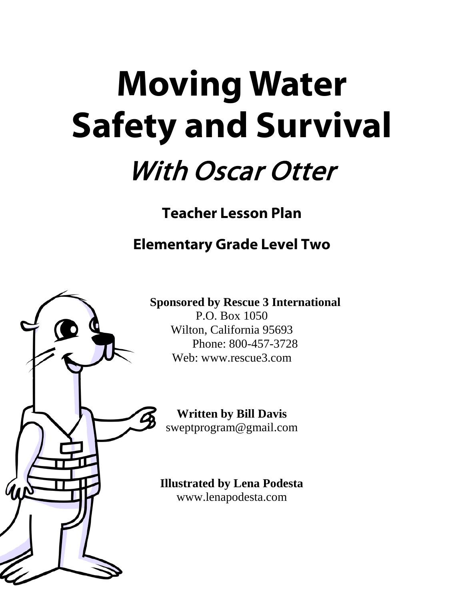# **Moving Water Safety and Survival** With Oscar Otter

**Teacher Lesson Plan**

**Elementary Grade Level Two**



**Sponsored by Rescue 3 International** P.O. Box 1050 Wilton, California 95693 Phone: 800-457-3728 Web: www.rescue3.com

**Written by Bill Davis** [sweptprogram@gmail.com](mailto:sweptprogram@gmail.com)

**Illustrated by Lena Podesta** www.lenapodesta.com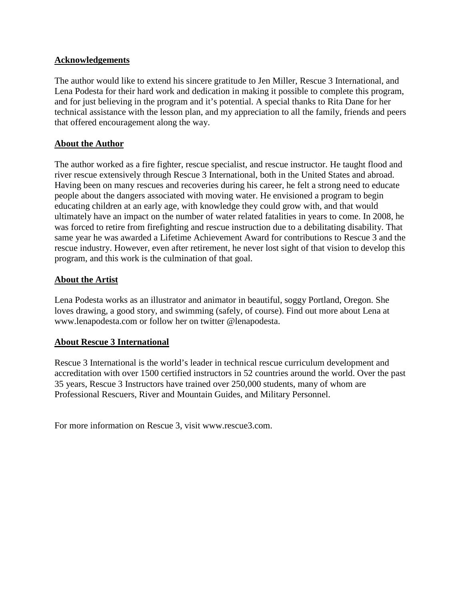## **Acknowledgements**

The author would like to extend his sincere gratitude to Jen Miller, Rescue 3 International, and Lena Podesta for their hard work and dedication in making it possible to complete this program, and for just believing in the program and it's potential. A special thanks to Rita Dane for her technical assistance with the lesson plan, and my appreciation to all the family, friends and peers that offered encouragement along the way.

# **About the Author**

The author worked as a fire fighter, rescue specialist, and rescue instructor. He taught flood and river rescue extensively through Rescue 3 International, both in the United States and abroad. Having been on many rescues and recoveries during his career, he felt a strong need to educate people about the dangers associated with moving water. He envisioned a program to begin educating children at an early age, with knowledge they could grow with, and that would ultimately have an impact on the number of water related fatalities in years to come. In 2008, he was forced to retire from firefighting and rescue instruction due to a debilitating disability. That same year he was awarded a Lifetime Achievement Award for contributions to Rescue 3 and the rescue industry. However, even after retirement, he never lost sight of that vision to develop this program, and this work is the culmination of that goal.

#### **About the Artist**

Lena Podesta works as an illustrator and animator in beautiful, soggy Portland, Oregon. She loves drawing, a good story, and swimming (safely, of course). Find out more about Lena at [www.lenapodesta.com](http://www.lenapodesta.com/) or follow her on twitter @lenapodesta.

#### **About Rescue 3 International**

Rescue 3 International is the world's leader in technical rescue curriculum development and accreditation with over 1500 certified instructors in 52 countries around the world. Over the past 35 years, Rescue 3 Instructors have trained over 250,000 students, many of whom are Professional Rescuers, River and Mountain Guides, and Military Personnel.

For more information on Rescue 3, visit www.rescue3.com.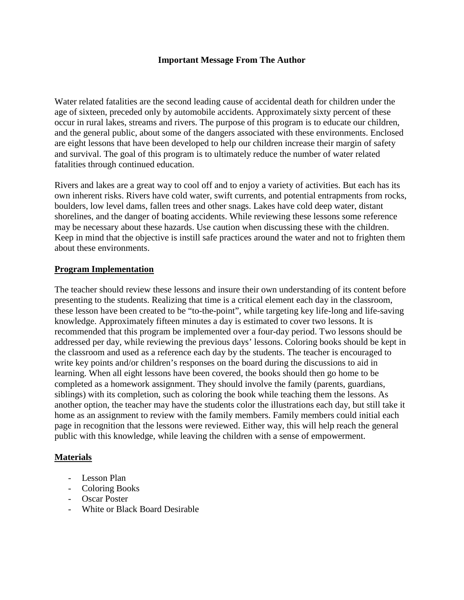#### **Important Message From The Author**

Water related fatalities are the second leading cause of accidental death for children under the age of sixteen, preceded only by automobile accidents. Approximately sixty percent of these occur in rural lakes, streams and rivers. The purpose of this program is to educate our children, and the general public, about some of the dangers associated with these environments. Enclosed are eight lessons that have been developed to help our children increase their margin of safety and survival. The goal of this program is to ultimately reduce the number of water related fatalities through continued education.

Rivers and lakes are a great way to cool off and to enjoy a variety of activities. But each has its own inherent risks. Rivers have cold water, swift currents, and potential entrapments from rocks, boulders, low level dams, fallen trees and other snags. Lakes have cold deep water, distant shorelines, and the danger of boating accidents. While reviewing these lessons some reference may be necessary about these hazards. Use caution when discussing these with the children. Keep in mind that the objective is instill safe practices around the water and not to frighten them about these environments.

#### **Program Implementation**

The teacher should review these lessons and insure their own understanding of its content before presenting to the students. Realizing that time is a critical element each day in the classroom, these lesson have been created to be "to-the-point", while targeting key life-long and life-saving knowledge. Approximately fifteen minutes a day is estimated to cover two lessons. It is recommended that this program be implemented over a four-day period. Two lessons should be addressed per day, while reviewing the previous days' lessons. Coloring books should be kept in the classroom and used as a reference each day by the students. The teacher is encouraged to write key points and/or children's responses on the board during the discussions to aid in learning. When all eight lessons have been covered, the books should then go home to be completed as a homework assignment. They should involve the family (parents, guardians, siblings) with its completion, such as coloring the book while teaching them the lessons. As another option, the teacher may have the students color the illustrations each day, but still take it home as an assignment to review with the family members. Family members could initial each page in recognition that the lessons were reviewed. Either way, this will help reach the general public with this knowledge, while leaving the children with a sense of empowerment.

#### **Materials**

- Lesson Plan
- Coloring Books
- Oscar Poster
- White or Black Board Desirable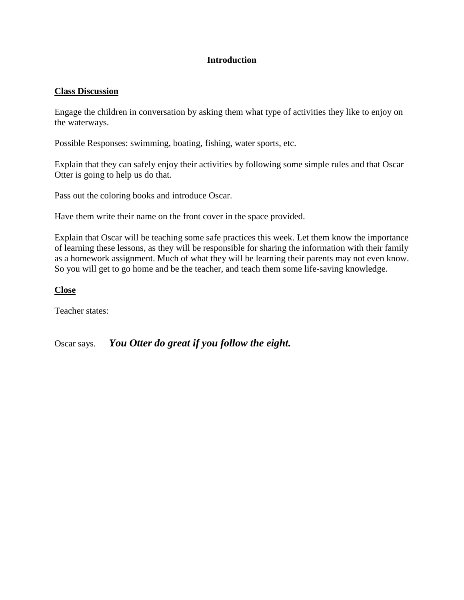# **Introduction**

### **Class Discussion**

Engage the children in conversation by asking them what type of activities they like to enjoy on the waterways.

Possible Responses: swimming, boating, fishing, water sports, etc.

Explain that they can safely enjoy their activities by following some simple rules and that Oscar Otter is going to help us do that.

Pass out the coloring books and introduce Oscar.

Have them write their name on the front cover in the space provided.

Explain that Oscar will be teaching some safe practices this week. Let them know the importance of learning these lessons, as they will be responsible for sharing the information with their family as a homework assignment. Much of what they will be learning their parents may not even know. So you will get to go home and be the teacher, and teach them some life-saving knowledge.

#### **Close**

Teacher states:

Oscar says. *You Otter do great if you follow the eight.*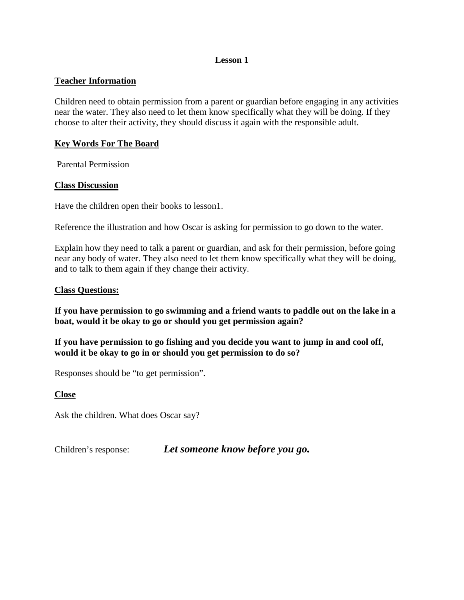## **Teacher Information**

Children need to obtain permission from a parent or guardian before engaging in any activities near the water. They also need to let them know specifically what they will be doing. If they choose to alter their activity, they should discuss it again with the responsible adult.

## **Key Words For The Board**

Parental Permission

## **Class Discussion**

Have the children open their books to lesson1.

Reference the illustration and how Oscar is asking for permission to go down to the water.

Explain how they need to talk a parent or guardian, and ask for their permission, before going near any body of water. They also need to let them know specifically what they will be doing, and to talk to them again if they change their activity.

## **Class Questions:**

**If you have permission to go swimming and a friend wants to paddle out on the lake in a boat, would it be okay to go or should you get permission again?**

**If you have permission to go fishing and you decide you want to jump in and cool off, would it be okay to go in or should you get permission to do so?**

Responses should be "to get permission".

**Close**

Ask the children. What does Oscar say?

Children's response: *Let someone know before you go.*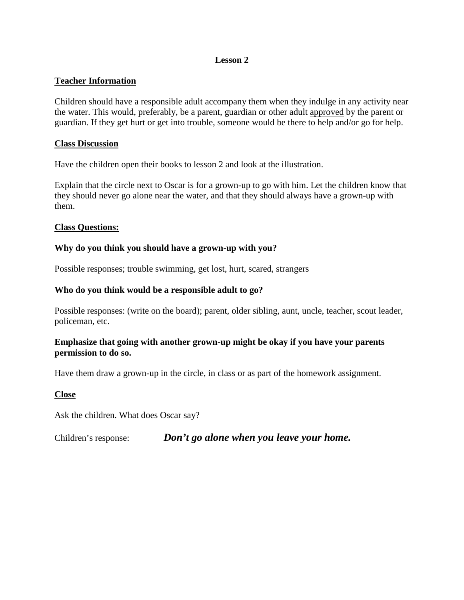# **Teacher Information**

Children should have a responsible adult accompany them when they indulge in any activity near the water. This would, preferably, be a parent, guardian or other adult approved by the parent or guardian. If they get hurt or get into trouble, someone would be there to help and/or go for help.

### **Class Discussion**

Have the children open their books to lesson 2 and look at the illustration.

Explain that the circle next to Oscar is for a grown-up to go with him. Let the children know that they should never go alone near the water, and that they should always have a grown-up with them.

## **Class Questions:**

## **Why do you think you should have a grown-up with you?**

Possible responses; trouble swimming, get lost, hurt, scared, strangers

## **Who do you think would be a responsible adult to go?**

Possible responses: (write on the board); parent, older sibling, aunt, uncle, teacher, scout leader, policeman, etc.

## **Emphasize that going with another grown-up might be okay if you have your parents permission to do so.**

Have them draw a grown-up in the circle, in class or as part of the homework assignment.

#### **Close**

Ask the children. What does Oscar say?

Children's response: *Don't go alone when you leave your home.*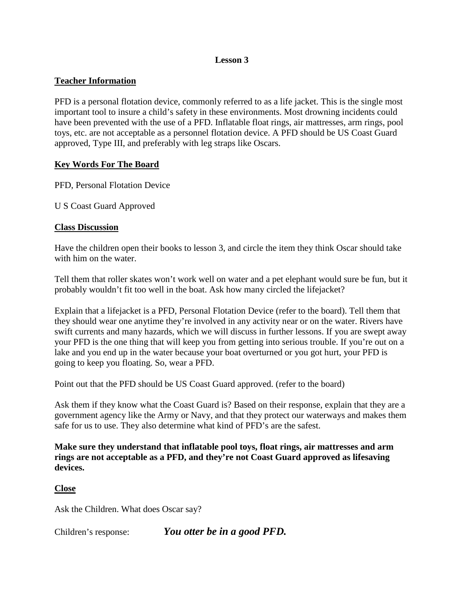# **Teacher Information**

PFD is a personal flotation device, commonly referred to as a life jacket. This is the single most important tool to insure a child's safety in these environments. Most drowning incidents could have been prevented with the use of a PFD. Inflatable float rings, air mattresses, arm rings, pool toys, etc. are not acceptable as a personnel flotation device. A PFD should be US Coast Guard approved, Type III, and preferably with leg straps like Oscars.

# **Key Words For The Board**

PFD, Personal Flotation Device

U S Coast Guard Approved

## **Class Discussion**

Have the children open their books to lesson 3, and circle the item they think Oscar should take with him on the water.

Tell them that roller skates won't work well on water and a pet elephant would sure be fun, but it probably wouldn't fit too well in the boat. Ask how many circled the lifejacket?

Explain that a lifejacket is a PFD, Personal Flotation Device (refer to the board). Tell them that they should wear one anytime they're involved in any activity near or on the water. Rivers have swift currents and many hazards, which we will discuss in further lessons. If you are swept away your PFD is the one thing that will keep you from getting into serious trouble. If you're out on a lake and you end up in the water because your boat overturned or you got hurt, your PFD is going to keep you floating. So, wear a PFD.

Point out that the PFD should be US Coast Guard approved. (refer to the board)

Ask them if they know what the Coast Guard is? Based on their response, explain that they are a government agency like the Army or Navy, and that they protect our waterways and makes them safe for us to use. They also determine what kind of PFD's are the safest.

**Make sure they understand that inflatable pool toys, float rings, air mattresses and arm rings are not acceptable as a PFD, and they're not Coast Guard approved as lifesaving devices.**

#### **Close**

Ask the Children. What does Oscar say?

Children's response: *You otter be in a good PFD.*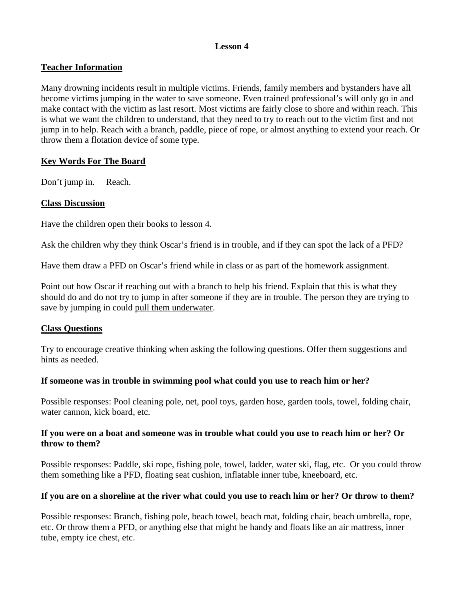# **Teacher Information**

Many drowning incidents result in multiple victims. Friends, family members and bystanders have all become victims jumping in the water to save someone. Even trained professional's will only go in and make contact with the victim as last resort. Most victims are fairly close to shore and within reach. This is what we want the children to understand, that they need to try to reach out to the victim first and not jump in to help. Reach with a branch, paddle, piece of rope, or almost anything to extend your reach. Or throw them a flotation device of some type.

## **Key Words For The Board**

Don't jump in. Reach.

## **Class Discussion**

Have the children open their books to lesson 4.

Ask the children why they think Oscar's friend is in trouble, and if they can spot the lack of a PFD?

Have them draw a PFD on Oscar's friend while in class or as part of the homework assignment.

Point out how Oscar if reaching out with a branch to help his friend. Explain that this is what they should do and do not try to jump in after someone if they are in trouble. The person they are trying to save by jumping in could pull them underwater.

# **Class Questions**

Try to encourage creative thinking when asking the following questions. Offer them suggestions and hints as needed.

#### **If someone was in trouble in swimming pool what could you use to reach him or her?**

Possible responses: Pool cleaning pole, net, pool toys, garden hose, garden tools, towel, folding chair, water cannon, kick board, etc.

## **If you were on a boat and someone was in trouble what could you use to reach him or her? Or throw to them?**

Possible responses: Paddle, ski rope, fishing pole, towel, ladder, water ski, flag, etc. Or you could throw them something like a PFD, floating seat cushion, inflatable inner tube, kneeboard, etc.

# **If you are on a shoreline at the river what could you use to reach him or her? Or throw to them?**

Possible responses: Branch, fishing pole, beach towel, beach mat, folding chair, beach umbrella, rope, etc. Or throw them a PFD, or anything else that might be handy and floats like an air mattress, inner tube, empty ice chest, etc.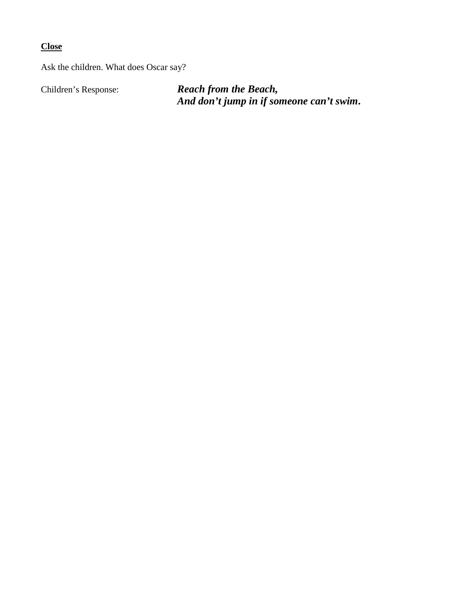**Close**

Ask the children. What does Oscar say?

Children's Response: *Reach from the Beach, And don't jump in if someone can't swim***.**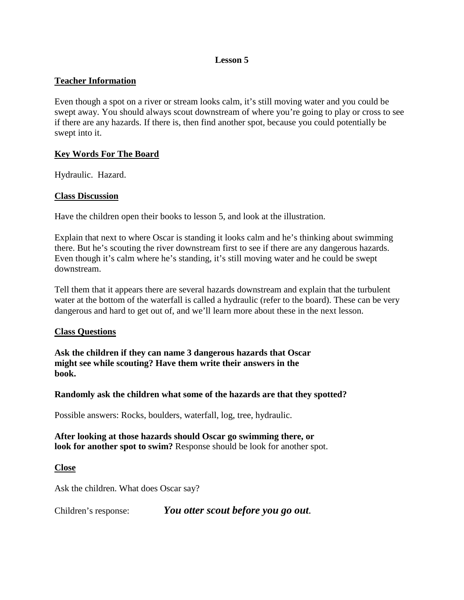## **Teacher Information**

Even though a spot on a river or stream looks calm, it's still moving water and you could be swept away. You should always scout downstream of where you're going to play or cross to see if there are any hazards. If there is, then find another spot, because you could potentially be swept into it.

## **Key Words For The Board**

Hydraulic. Hazard.

## **Class Discussion**

Have the children open their books to lesson 5, and look at the illustration.

Explain that next to where Oscar is standing it looks calm and he's thinking about swimming there. But he's scouting the river downstream first to see if there are any dangerous hazards. Even though it's calm where he's standing, it's still moving water and he could be swept downstream.

Tell them that it appears there are several hazards downstream and explain that the turbulent water at the bottom of the waterfall is called a hydraulic (refer to the board). These can be very dangerous and hard to get out of, and we'll learn more about these in the next lesson.

#### **Class Questions**

**Ask the children if they can name 3 dangerous hazards that Oscar might see while scouting? Have them write their answers in the book.**

#### **Randomly ask the children what some of the hazards are that they spotted?**

Possible answers: Rocks, boulders, waterfall, log, tree, hydraulic.

**After looking at those hazards should Oscar go swimming there, or look for another spot to swim?** Response should be look for another spot.

#### **Close**

Ask the children. What does Oscar say?

Children's response: *You otter scout before you go out.*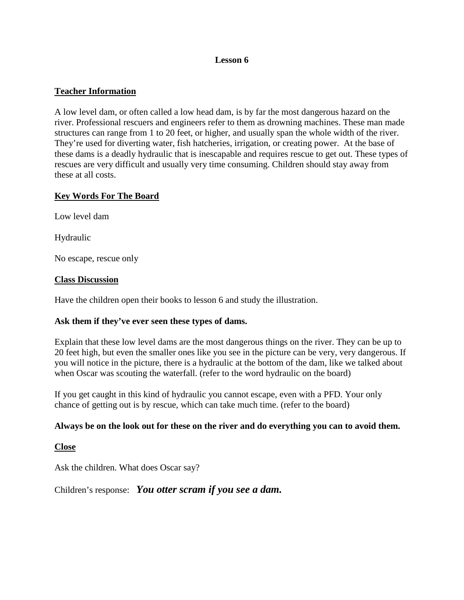# **Teacher Information**

A low level dam, or often called a low head dam, is by far the most dangerous hazard on the river. Professional rescuers and engineers refer to them as drowning machines. These man made structures can range from 1 to 20 feet, or higher, and usually span the whole width of the river. They're used for diverting water, fish hatcheries, irrigation, or creating power. At the base of these dams is a deadly hydraulic that is inescapable and requires rescue to get out. These types of rescues are very difficult and usually very time consuming. Children should stay away from these at all costs.

## **Key Words For The Board**

Low level dam

Hydraulic

No escape, rescue only

#### **Class Discussion**

Have the children open their books to lesson 6 and study the illustration.

#### **Ask them if they've ever seen these types of dams.**

Explain that these low level dams are the most dangerous things on the river. They can be up to 20 feet high, but even the smaller ones like you see in the picture can be very, very dangerous. If you will notice in the picture, there is a hydraulic at the bottom of the dam, like we talked about when Oscar was scouting the waterfall. (refer to the word hydraulic on the board)

If you get caught in this kind of hydraulic you cannot escape, even with a PFD. Your only chance of getting out is by rescue, which can take much time. (refer to the board)

#### **Always be on the look out for these on the river and do everything you can to avoid them.**

#### **Close**

Ask the children. What does Oscar say?

Children's response: *You otter scram if you see a dam.*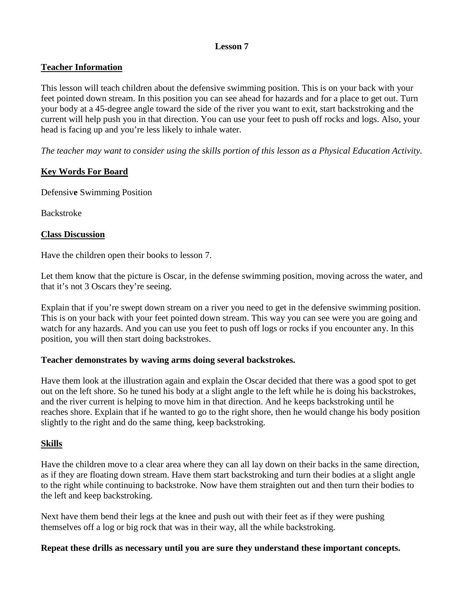# **Teacher Information**

This lesson will teach children about the defensive swimming position. This is on your back with your feet pointed down stream. In this position you can see ahead for hazards and for a place to get out. Turn your body at a 45-degree angle toward the side of the river you want to exit, start backstroking and the current will help push you in that direction. You can use your feet to push off rocks and logs. Also, your head is facing up and you're less likely to inhale water.

*The teacher may want to consider using the skills portion of this lesson as a Physical Education Activity.*

# **Key Words For Board**

Defensiv**e** Swimming Position

Backstroke

#### **Class Discussion**

Have the children open their books to lesson 7.

Let them know that the picture is Oscar, in the defense swimming position, moving across the water, and that it's not 3 Oscars they're seeing.

Explain that if you're swept down stream on a river you need to get in the defensive swimming position. This is on your back with your feet pointed down stream. This way you can see were you are going and watch for any hazards. And you can use you feet to push off logs or rocks if you encounter any. In this position, you will then start doing backstrokes.

#### **Teacher demonstrates by waving arms doing several backstrokes.**

Have them look at the illustration again and explain the Oscar decided that there was a good spot to get out on the left shore. So he tuned his body at a slight angle to the left while he is doing his backstrokes, and the river current is helping to move him in that direction. And he keeps backstroking until he reaches shore. Explain that if he wanted to go to the right shore, then he would change his body position slightly to the right and do the same thing, keep backstroking.

# **Skills**

Have the children move to a clear area where they can all lay down on their backs in the same direction, as if they are floating down stream. Have them start backstroking and turn their bodies at a slight angle to the right while continuing to backstroke. Now have them straighten out and then turn their bodies to the left and keep backstroking.

Next have them bend their legs at the knee and push out with their feet as if they were pushing themselves off a log or big rock that was in their way, all the while backstroking.

#### **Repeat these drills as necessary until you are sure they understand these important concepts.**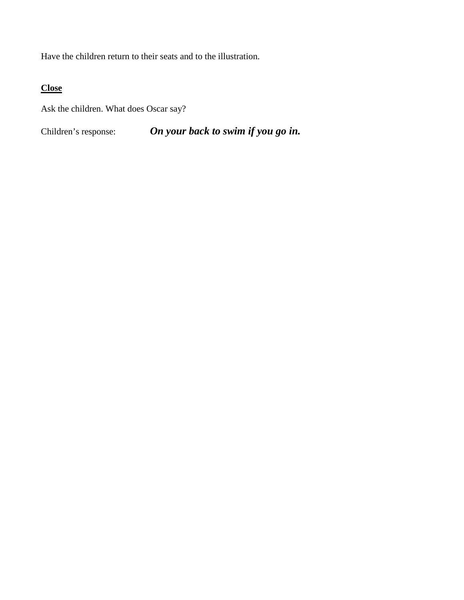Have the children return to their seats and to the illustration.

# **Close**

Ask the children. What does Oscar say?

Children's response: *On your back to swim if you go in.*